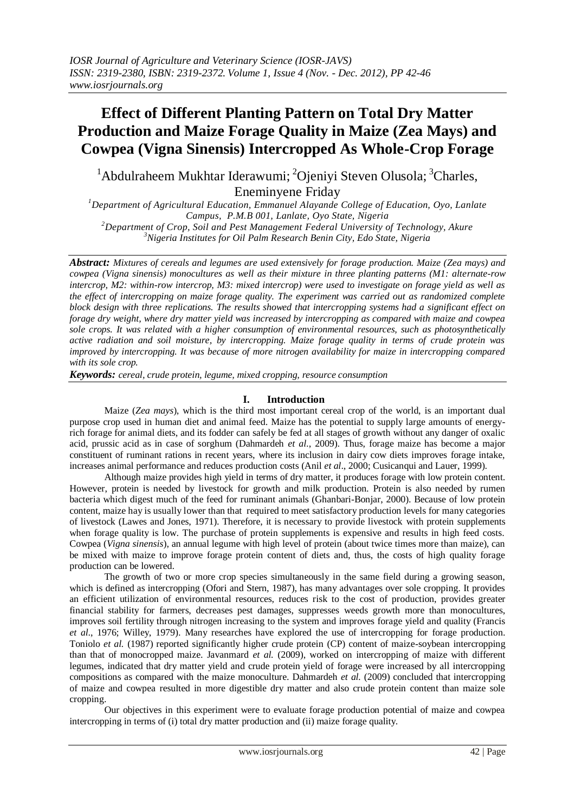# **Effect of Different Planting Pattern on Total Dry Matter Production and Maize Forage Quality in Maize (Zea Mays) and Cowpea (Vigna Sinensis) Intercropped As Whole-Crop Forage**

 $1$ Abdulraheem Mukhtar Iderawumi;  $2$ Ojeniyi Steven Olusola;  $3$ Charles, Eneminyene Friday

*<sup>1</sup>Department of Agricultural Education, Emmanuel Alayande College of Education, Oyo, Lanlate Campus, P.M.B 001, Lanlate, Oyo State, Nigeria <sup>2</sup>Department of Crop, Soil and Pest Management Federal University of Technology, Akure*

*<sup>3</sup>Nigeria Institutes for Oil Palm Research Benin City, Edo State, Nigeria*

*Abstract: Mixtures of cereals and legumes are used extensively for forage production. Maize (Zea mays) and cowpea (Vigna sinensis) monocultures as well as their mixture in three planting patterns (M1: alternate-row intercrop, M2: within-row intercrop, M3: mixed intercrop) were used to investigate on forage yield as well as the effect of intercropping on maize forage quality. The experiment was carried out as randomized complete block design with three replications. The results showed that intercropping systems had a significant effect on forage dry weight, where dry matter yield was increased by intercropping as compared with maize and cowpea sole crops. It was related with a higher consumption of environmental resources, such as photosynthetically active radiation and soil moisture, by intercropping. Maize forage quality in terms of crude protein was improved by intercropping. It was because of more nitrogen availability for maize in intercropping compared with its sole crop.*

*Keywords: cereal, crude protein, legume, mixed cropping, resource consumption*

## **I. Introduction**

Maize (*Zea mays*), which is the third most important cereal crop of the world, is an important dual purpose crop used in human diet and animal feed. Maize has the potential to supply large amounts of energyrich forage for animal diets, and its fodder can safely be fed at all stages of growth without any danger of oxalic acid, prussic acid as in case of sorghum (Dahmardeh *et al*., 2009). Thus, forage maize has become a major constituent of ruminant rations in recent years, where its inclusion in dairy cow diets improves forage intake, increases animal performance and reduces production costs (Anil *et al*., 2000; Cusicanqui and Lauer, 1999).

Although maize provides high yield in terms of dry matter, it produces forage with low protein content. However, protein is needed by livestock for growth and milk production. Protein is also needed by rumen bacteria which digest much of the feed for ruminant animals (Ghanbari-Bonjar, 2000). Because of low protein content, maize hay is usually lower than that required to meet satisfactory production levels for many categories of livestock (Lawes and Jones, 1971). Therefore, it is necessary to provide livestock with protein supplements when forage quality is low. The purchase of protein supplements is expensive and results in high feed costs. Cowpea (*Vigna sinensis*), an annual legume with high level of protein (about twice times more than maize), can be mixed with maize to improve forage protein content of diets and, thus, the costs of high quality forage production can be lowered.

The growth of two or more crop species simultaneously in the same field during a growing season, which is defined as intercropping (Ofori and Stern, 1987), has many advantages over sole cropping. It provides an efficient utilization of environmental resources, reduces risk to the cost of production, provides greater financial stability for farmers, decreases pest damages, suppresses weeds growth more than monocultures, improves soil fertility through nitrogen increasing to the system and improves forage yield and quality (Francis *et al*., 1976; Willey, 1979). Many researches have explored the use of intercropping for forage production. Toniolo *et al.* (1987) reported significantly higher crude protein (CP) content of maize-soybean intercropping than that of monocropped maize. Javanmard *et al.* (2009), worked on intercropping of maize with different legumes, indicated that dry matter yield and crude protein yield of forage were increased by all intercropping compositions as compared with the maize monoculture. Dahmardeh *et al.* (2009) concluded that intercropping of maize and cowpea resulted in more digestible dry matter and also crude protein content than maize sole cropping.

Our objectives in this experiment were to evaluate forage production potential of maize and cowpea intercropping in terms of (i) total dry matter production and (ii) maize forage quality.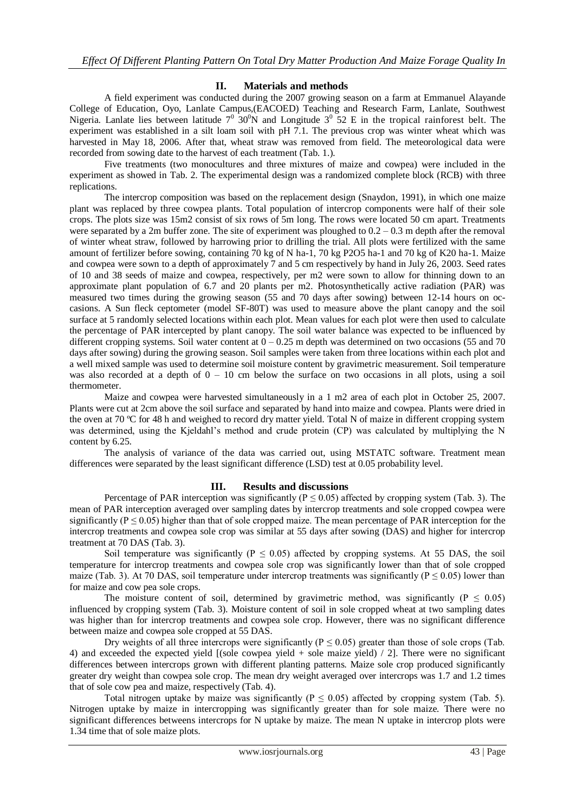## **II. Materials and methods**

A field experiment was conducted during the 2007 growing season on a farm at Emmanuel Alayande College of Education, Oyo, Lanlate Campus,(EACOED) Teaching and Research Farm, Lanlate, Southwest Nigeria. Lanlate lies between latitude  $7^0$  30<sup>0</sup>N and Longitude  $3^0$  52 E in the tropical rainforest belt. The experiment was established in a silt loam soil with pH 7.1. The previous crop was winter wheat which was harvested in May 18, 2006. After that, wheat straw was removed from field. The meteorological data were recorded from sowing date to the harvest of each treatment (Tab. 1.).

Five treatments (two monocultures and three mixtures of maize and cowpea) were included in the experiment as showed in Tab. 2. The experimental design was a randomized complete block (RCB) with three replications.

The intercrop composition was based on the replacement design (Snaydon, 1991), in which one maize plant was replaced by three cowpea plants. Total population of intercrop components were half of their sole crops. The plots size was 15m2 consist of six rows of 5m long. The rows were located 50 cm apart. Treatments were separated by a 2m buffer zone. The site of experiment was ploughed to 0.2 – 0.3 m depth after the removal of winter wheat straw, followed by harrowing prior to drilling the trial. All plots were fertilized with the same amount of fertilizer before sowing, containing 70 kg of N ha-1, 70 kg P2O5 ha-1 and 70 kg of K20 ha-1. Maize and cowpea were sown to a depth of approximately 7 and 5 cm respectively by hand in July 26, 2003. Seed rates of 10 and 38 seeds of maize and cowpea, respectively, per m2 were sown to allow for thinning down to an approximate plant population of 6.7 and 20 plants per m2. Photosynthetically active radiation (PAR) was measured two times during the growing season (55 and 70 days after sowing) between 12-14 hours on occasions. A Sun fleck ceptometer (model SF-80T) was used to measure above the plant canopy and the soil surface at 5 randomly selected locations within each plot. Mean values for each plot were then used to calculate the percentage of PAR intercepted by plant canopy. The soil water balance was expected to be influenced by different cropping systems. Soil water content at  $0 - 0.25$  m depth was determined on two occasions (55 and 70) days after sowing) during the growing season. Soil samples were taken from three locations within each plot and a well mixed sample was used to determine soil moisture content by gravimetric measurement. Soil temperature was also recorded at a depth of  $0 - 10$  cm below the surface on two occasions in all plots, using a soil thermometer.

Maize and cowpea were harvested simultaneously in a 1 m2 area of each plot in October 25, 2007. Plants were cut at 2cm above the soil surface and separated by hand into maize and cowpea. Plants were dried in the oven at 70 ºC for 48 h and weighed to record dry matter yield. Total N of maize in different cropping system was determined, using the Kjeldahl's method and crude protein (CP) was calculated by multiplying the N content by 6.25.

The analysis of variance of the data was carried out, using MSTATC software. Treatment mean differences were separated by the least significant difference (LSD) test at 0.05 probability level.

## **III. Results and discussions**

Percentage of PAR interception was significantly ( $P \le 0.05$ ) affected by cropping system (Tab. 3). The mean of PAR interception averaged over sampling dates by intercrop treatments and sole cropped cowpea were significantly ( $P \le 0.05$ ) higher than that of sole cropped maize. The mean percentage of PAR interception for the intercrop treatments and cowpea sole crop was similar at 55 days after sowing (DAS) and higher for intercrop treatment at 70 DAS (Tab. 3).

Soil temperature was significantly ( $P \le 0.05$ ) affected by cropping systems. At 55 DAS, the soil temperature for intercrop treatments and cowpea sole crop was significantly lower than that of sole cropped maize (Tab. 3). At 70 DAS, soil temperature under intercrop treatments was significantly ( $P \le 0.05$ ) lower than for maize and cow pea sole crops.

The moisture content of soil, determined by gravimetric method, was significantly ( $P \le 0.05$ ) influenced by cropping system (Tab. 3). Moisture content of soil in sole cropped wheat at two sampling dates was higher than for intercrop treatments and cowpea sole crop. However, there was no significant difference between maize and cowpea sole cropped at 55 DAS.

Dry weights of all three intercrops were significantly ( $P \le 0.05$ ) greater than those of sole crops (Tab. 4) and exceeded the expected yield [(sole cowpea yield + sole maize yield) / 2]. There were no significant differences between intercrops grown with different planting patterns. Maize sole crop produced significantly greater dry weight than cowpea sole crop. The mean dry weight averaged over intercrops was 1.7 and 1.2 times that of sole cow pea and maize, respectively (Tab. 4).

Total nitrogen uptake by maize was significantly ( $P \le 0.05$ ) affected by cropping system (Tab. 5). Nitrogen uptake by maize in intercropping was significantly greater than for sole maize. There were no significant differences betweens intercrops for N uptake by maize. The mean N uptake in intercrop plots were 1.34 time that of sole maize plots.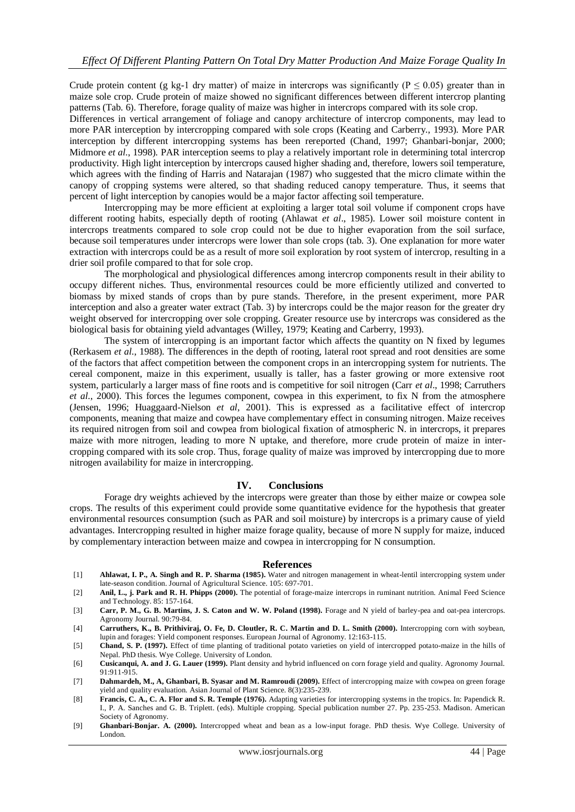Crude protein content (g kg-1 dry matter) of maize in intercrops was significantly ( $P \le 0.05$ ) greater than in maize sole crop. Crude protein of maize showed no significant differences between different intercrop planting patterns (Tab. 6). Therefore, forage quality of maize was higher in intercrops compared with its sole crop.

Differences in vertical arrangement of foliage and canopy architecture of intercrop components, may lead to more PAR interception by intercropping compared with sole crops (Keating and Carberry., 1993). More PAR interception by different intercropping systems has been rereported (Chand, 1997; Ghanbari-bonjar, 2000; Midmore *et al*., 1998). PAR interception seems to play a relatively important role in determining total intercrop productivity. High light interception by intercrops caused higher shading and, therefore, lowers soil temperature, which agrees with the finding of Harris and Natarajan (1987) who suggested that the micro climate within the canopy of cropping systems were altered, so that shading reduced canopy temperature. Thus, it seems that percent of light interception by canopies would be a major factor affecting soil temperature.

Intercropping may be more efficient at exploiting a larger total soil volume if component crops have different rooting habits, especially depth of rooting (Ahlawat *et al*., 1985). Lower soil moisture content in intercrops treatments compared to sole crop could not be due to higher evaporation from the soil surface, because soil temperatures under intercrops were lower than sole crops (tab. 3). One explanation for more water extraction with intercrops could be as a result of more soil exploration by root system of intercrop, resulting in a drier soil profile compared to that for sole crop.

The morphological and physiological differences among intercrop components result in their ability to occupy different niches. Thus, environmental resources could be more efficiently utilized and converted to biomass by mixed stands of crops than by pure stands. Therefore, in the present experiment, more PAR interception and also a greater water extract (Tab. 3) by intercrops could be the major reason for the greater dry weight observed for intercropping over sole cropping. Greater resource use by intercrops was considered as the biological basis for obtaining yield advantages (Willey, 1979; Keating and Carberry, 1993).

The system of intercropping is an important factor which affects the quantity on N fixed by legumes (Rerkasem *et al*., 1988). The differences in the depth of rooting, lateral root spread and root densities are some of the factors that affect competition between the component crops in an intercropping system for nutrients. The cereal component, maize in this experiment, usually is taller, has a faster growing or more extensive root system, particularly a larger mass of fine roots and is competitive for soil nitrogen (Carr *et al*., 1998; Carruthers *et al*., 2000). This forces the legumes component, cowpea in this experiment, to fix N from the atmosphere (Jensen, 1996; Huaggaard-Nielson *et al*, 2001). This is expressed as a facilitative effect of intercrop components, meaning that maize and cowpea have complementary effect in consuming nitrogen. Maize receives its required nitrogen from soil and cowpea from biological fixation of atmospheric N. in intercrops, it prepares maize with more nitrogen, leading to more N uptake, and therefore, more crude protein of maize in intercropping compared with its sole crop. Thus, forage quality of maize was improved by intercropping due to more nitrogen availability for maize in intercropping.

## **IV. Conclusions**

Forage dry weights achieved by the intercrops were greater than those by either maize or cowpea sole crops. The results of this experiment could provide some quantitative evidence for the hypothesis that greater environmental resources consumption (such as PAR and soil moisture) by intercrops is a primary cause of yield advantages. Intercropping resulted in higher maize forage quality, because of more N supply for maize, induced by complementary interaction between maize and cowpea in intercropping for N consumption.

#### **References**

- [1] **Ahlawat, I. P., A. Singh and R. P. Sharma (1985).** Water and nitrogen management in wheat-lentil intercropping system under late-season condition. Journal of Agricultural Science. 105: 697-701.
- [2] **Anil, L., j. Park and R. H. Phipps (2000).** The potential of forage-maize intercrops in ruminant nutrition. Animal Feed Science and Technology. 85: 157-164.
- [3] **Carr, P. M., G. B. Martins, J. S. Caton and W. W. Poland (1998).** Forage and N yield of barley-pea and oat-pea intercrops. Agronomy Journal. 90:79-84.
- [4] **Carruthers, K., B. Prithiviraj, O. Fe, D. Cloutler, R. C. Martin and D. L. Smith (2000).** Intercropping corn with soybean, lupin and forages: Yield component responses. European Journal of Agronomy. 12:163-115.
- [5] **Chand, S. P. (1997).** Effect of time planting of traditional potato varieties on yield of intercropped potato-maize in the hills of Nepal. PhD thesis. Wye College. University of London.
- [6] **Cusicanqui, A. and J. G. Lauer (1999).** Plant density and hybrid influenced on corn forage yield and quality. Agronomy Journal.  $91:911-915$
- [7] **Dahmardeh, M., A, Ghanbari, B. Syasar and M. Ramroudi (2009).** Effect of intercropping maize with cowpea on green forage yield and quality evaluation. Asian Journal of Plant Science. 8(3):235-239.
- [8] **Francis, C. A., C. A. Flor and S. R. Temple (1976).** Adapting varieties for intercropping systems in the tropics. In: Papendick R. I., P. A. Sanches and G. B. Triplett. (eds). Multiple cropping. Special publication number 27. Pp. 235-253. Madison. American Society of Agronomy.
- [9] **Ghanbari-Bonjar. A. (2000).** Intercropped wheat and bean as a low-input forage. PhD thesis. Wye College. University of London.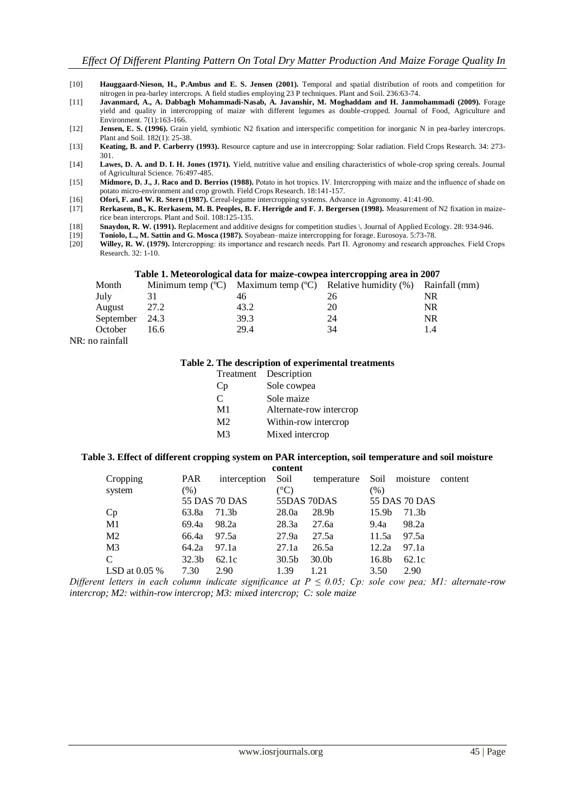- [10] **Hauggaard-Nieson, H., P.Ambus and E. S. Jensen (2001).** Temporal and spatial distribution of roots and competition for nitrogen in pea-barley intercrops. A field studies employing 23 P techniques. Plant and Soil. 236:63-74.
- [11] **Javanmard, A., A. Dabbagh Mohammadi-Nasab, A. Javanshir, M. Moghaddam and H. Janmohammadi (2009).** Forage yield and quality in intercropping of maize with different legumes as double-cropped. Journal of Food, Agriculture and Environment. 7(1):163-166.
- [12] **Jensen, E. S. (1996).** Grain yield, symbiotic N2 fixation and interspecific competition for inorganic N in pea-barley intercrops. Plant and Soil. 182(1): 25-38.
- [13] **Keating, B. and P. Carberry (1993).** Resource capture and use in intercropping: Solar radiation. Field Crops Research. 34: 273- 301.
- [14] **Lawes, D. A. and D. I. H. Jones (1971).** Yield, nutritive value and ensiling characteristics of whole-crop spring cereals. Journal of Agricultural Science. 76:497-485.
- [15] **Midmore, D. J., J. Raco and D. Berrios (1988).** Potato in hot tropics. IV. Intercropping with maize and the influence of shade on potato micro-environment and crop growth. Field Crops Research. 18:141-157.
- [16] **Ofori, F. and W. R. Stern (1987).** Cereal-legume intercropping systems. Advance in Agronomy. 41:41-90.
- [17] **Rerkasem, B., K. Rerkasem, M. B. Peoples, B. F. Herrigde and F. J. Bergersen (1998).** Measurement of N2 fixation in maizerice bean intercrops. Plant and Soil. 108:125-135.
- [18] **Snaydon, R. W. (1991).** Replacement and additive designs for competition studies \. Journal of Applied Ecology. 28: 934-946.
- [19] **Toniolo, L., M. Sattin and G. Mosca (1987).** Soyabean–maize intercropping for forage. Eurosoya. 5:73-78.
- [20] **Willey, R. W. (1979).** Intercropping: its importance and research needs. Part Π. Agronomy and research approaches. Field Crops Research. 32: 1-10.

## **Table 1. Meteorological data for maize-cowpea intercropping area in 2007**

| Twore it history organism when for theme compon meet or opping an en in 2007 |      |      |                                                                         |     |
|------------------------------------------------------------------------------|------|------|-------------------------------------------------------------------------|-----|
| Month                                                                        |      |      | Minimum temp (°C) Maximum temp (°C) Relative humidity (%) Rainfall (mm) |     |
| July                                                                         | 31   | 46   | 26                                                                      | NR  |
| August                                                                       | 27.2 | 43.2 | 20                                                                      | NR  |
| September 24.3                                                               |      | 39.3 | 24                                                                      | NR  |
| October                                                                      | 16.6 | 29.4 | 34                                                                      | 1.4 |
| no roinfoll                                                                  |      |      |                                                                         |     |

NR: no rainfall

## **Table 2. The description of experimental treatments**

| Treatment      | Description             |
|----------------|-------------------------|
| Cр             | Sole cowpea             |
| C              | Sole maize              |
| M <sub>1</sub> | Alternate-row intercrop |
| M <sub>2</sub> | Within-row intercrop    |
| M <sub>3</sub> | Mixed intercrop         |
|                |                         |

#### **Table 3. Effect of different cropping system on PAR interception, soil temperature and soil moisture content**

| Cropping        | PAR               | interception  | Soil              | temperature       | Soil              | moisture      | content |
|-----------------|-------------------|---------------|-------------------|-------------------|-------------------|---------------|---------|
| system          | $(\%)$            |               | $({}^{\circ}C)$   |                   | $(\%)$            |               |         |
|                 |                   | 55 DAS 70 DAS | 55DAS 70DAS       |                   |                   | 55 DAS 70 DAS |         |
| Cp              | 63.8a             | 71.3b         | 28.0a             | 28.9b             | 15.9 <sub>b</sub> | 71.3b         |         |
| M1              | 69.4a             | 98.2a         | 28.3a             | 27.6a             | 9.4a              | 98.2a         |         |
| M <sub>2</sub>  | 66.4a             | 97.5a         | 27.9a             | 27.5a             | 11.5a             | 97.5a         |         |
| M <sub>3</sub>  | 64.2a             | 97.1a         | 27.1a             | 26.5a             | 12.2a             | 97.1a         |         |
| C               | 32.3 <sub>b</sub> | 62.1c         | 30.5 <sub>b</sub> | 30.0 <sub>b</sub> | 16.8b             | 62.1c         |         |
| LSD at $0.05\%$ | 7.30              | 2.90          | 1.39              | 1.21              | 3.50              | 2.90          |         |
|                 |                   |               |                   |                   |                   |               |         |

*Different letters in each column indicate significance at P ≤ 0.05; Cp: sole cow pea; M1: alternate-row intercrop; M2: within-row intercrop; M3: mixed intercrop; C: sole maize*